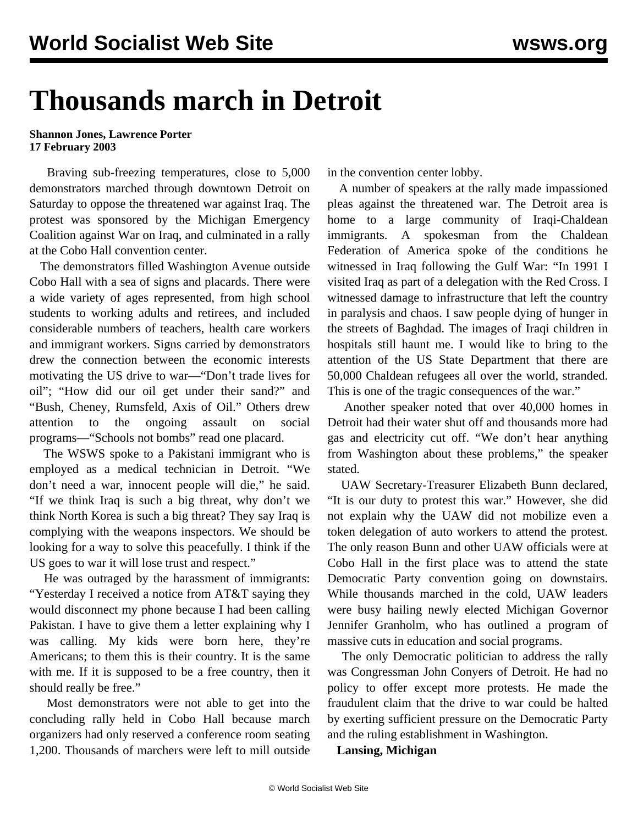## **Thousands march in Detroit**

## **Shannon Jones, Lawrence Porter 17 February 2003**

 Braving sub-freezing temperatures, close to 5,000 demonstrators marched through downtown Detroit on Saturday to oppose the threatened war against Iraq. The protest was sponsored by the Michigan Emergency Coalition against War on Iraq, and culminated in a rally at the Cobo Hall convention center.

 The demonstrators filled Washington Avenue outside Cobo Hall with a sea of signs and placards. There were a wide variety of ages represented, from high school students to working adults and retirees, and included considerable numbers of teachers, health care workers and immigrant workers. Signs carried by demonstrators drew the connection between the economic interests motivating the US drive to war—"Don't trade lives for oil"; "How did our oil get under their sand?" and "Bush, Cheney, Rumsfeld, Axis of Oil." Others drew attention to the ongoing assault on social programs—"Schools not bombs" read one placard.

 The WSWS spoke to a Pakistani immigrant who is employed as a medical technician in Detroit. "We don't need a war, innocent people will die," he said. "If we think Iraq is such a big threat, why don't we think North Korea is such a big threat? They say Iraq is complying with the weapons inspectors. We should be looking for a way to solve this peacefully. I think if the US goes to war it will lose trust and respect."

 He was outraged by the harassment of immigrants: "Yesterday I received a notice from AT&T saying they would disconnect my phone because I had been calling Pakistan. I have to give them a letter explaining why I was calling. My kids were born here, they're Americans; to them this is their country. It is the same with me. If it is supposed to be a free country, then it should really be free."

 Most demonstrators were not able to get into the concluding rally held in Cobo Hall because march organizers had only reserved a conference room seating 1,200. Thousands of marchers were left to mill outside in the convention center lobby.

 A number of speakers at the rally made impassioned pleas against the threatened war. The Detroit area is home to a large community of Iraqi-Chaldean immigrants. A spokesman from the Chaldean Federation of America spoke of the conditions he witnessed in Iraq following the Gulf War: "In 1991 I visited Iraq as part of a delegation with the Red Cross. I witnessed damage to infrastructure that left the country in paralysis and chaos. I saw people dying of hunger in the streets of Baghdad. The images of Iraqi children in hospitals still haunt me. I would like to bring to the attention of the US State Department that there are 50,000 Chaldean refugees all over the world, stranded. This is one of the tragic consequences of the war."

 Another speaker noted that over 40,000 homes in Detroit had their water shut off and thousands more had gas and electricity cut off. "We don't hear anything from Washington about these problems," the speaker stated.

 UAW Secretary-Treasurer Elizabeth Bunn declared, "It is our duty to protest this war." However, she did not explain why the UAW did not mobilize even a token delegation of auto workers to attend the protest. The only reason Bunn and other UAW officials were at Cobo Hall in the first place was to attend the state Democratic Party convention going on downstairs. While thousands marched in the cold, UAW leaders were busy hailing newly elected Michigan Governor Jennifer Granholm, who has outlined a program of massive cuts in education and social programs.

 The only Democratic politician to address the rally was Congressman John Conyers of Detroit. He had no policy to offer except more protests. He made the fraudulent claim that the drive to war could be halted by exerting sufficient pressure on the Democratic Party and the ruling establishment in Washington.

**Lansing, Michigan**